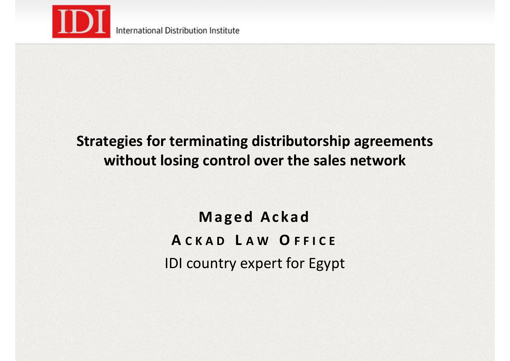

# **Strategies for terminating distributorship agreements without losing control over the sales network**

**Maged Ackad A CKAD L A W O FFICE** IDI country expert for Egypt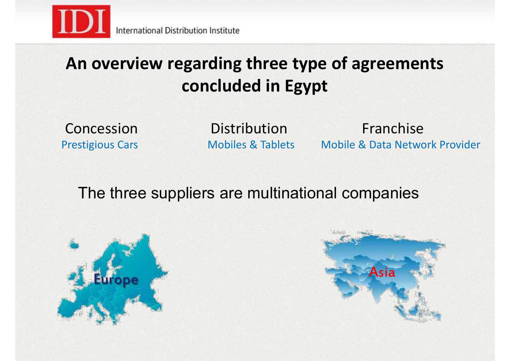

# **An overview regarding three type of agreements concluded in Egypt**

Concession Prestigious Cars **Distribution** 

Mobiles & Tablets Mobile & Data Network Provider Franchise

The three suppliers are multinational companies



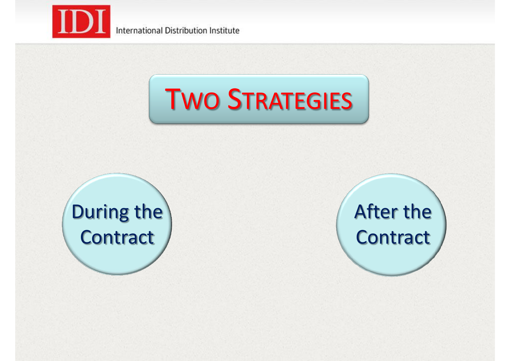



# During the **Contract**

# After the **Contract**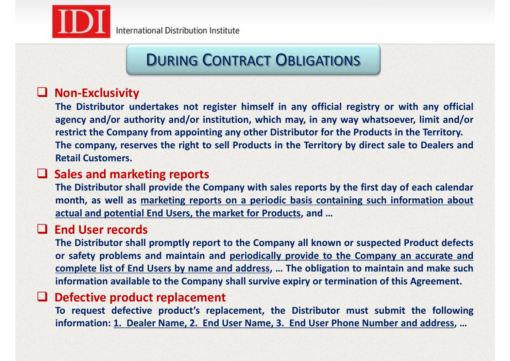

# DURING CONTRACT OBLIGATIONS

# **Non-Exclusivity**

**The Distributor undertakes not register himself in any official registry or with any official agency and/or authority and/or institution, which may, in any way whatsoever, limit and/or restrict the Company from appointing any other Distributor for the Products in the Territory. The company, reserves the right to sell Products in the Territory by direct sale to Dealers and Retail Customers.**

## **Sales and marketing reports**

**The Distributor shall provide the Company with sales reports by the first day of each calendar month, as well as marketing reports on a periodic basis containing such information about actual and potential End Users, the market for Products, and …**

## **End User records**

**The Distributor shall promptly report to the Company all known or suspected Product defects or safety problems and maintain and periodically provide to the Company an accurate and complete list of End Users by name and address, … The obligation to maintain and make such information available to the Company shall survive expiry or termination of this Agreement.**

#### **Defective product replacement**

**To request defective product's replacement, the Distributor must submit the following information: 1. Dealer Name, 2. End User Name, 3. End User Phone Number and address, …**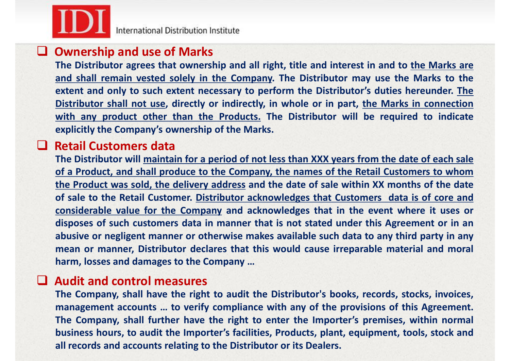

International Distribution Institute

## **Ownership and use of Marks**

**The Distributor agrees that ownership and all right, title and interest in and to the Marks are and shall remain vested solely in the Company. The Distributor may use the Marks to the extent and only to such extent necessary to perform the Distributor's duties hereunder. The Distributor shall not use, directly or indirectly, in whole or in part, the Marks in connection with any product other than the Products. The Distributor will be required to indicate explicitly the Company's ownership of the Marks.**

## **Retail Customers data**

The Distributor will maintain for a period of not less than XXX years from the date of each sale **of a Product, and shall produce to the Company, the names of the Retail Customers to whom the Product was sold, the delivery address and the date of sale within XX months of the date of sale to the Retail Customer. Distributor acknowledges that Customers data is of core and considerable value for the Company and acknowledges that in the event where it uses or disposes of such customers data in manner that is not stated under this Agreement or in an abusive or negligent manner or otherwise makes available such data to any third party in any mean or manner, Distributor declares that this would cause irreparable material and moral harm, losses and damages to the Company …**

#### **Audit and control measures**

**The Company, shall have the right to audit the Distributor's books, records, stocks, invoices, management accounts … to verify compliance with any of the provisions of this Agreement. The Company, shall further have the right to enter the Importer's premises, within normal business hours, to audit the Importer's facilities, Products, plant, equipment, tools, stock and all records and accounts relating to the Distributor or its Dealers.**